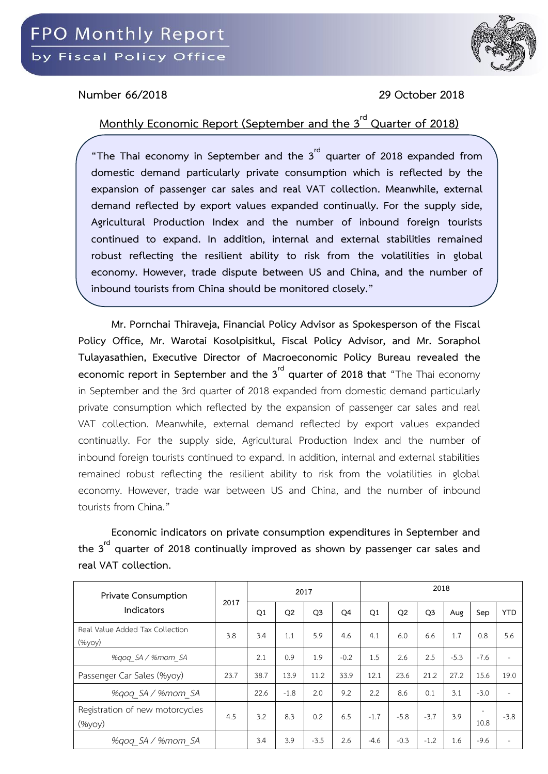

**Number 66/2018 29 October 2018**

**Monthly Economic Report (September and the 3rd Quarter of 2018)**

**"The Thai economy in September and the 3rd quarter of 2018 expanded from domestic demand particularly private consumption which is reflected by the expansion of passenger car sales and real VAT collection. Meanwhile, external demand reflected by export values expanded continually. For the supply side, Agricultural Production Index and the number of inbound foreign tourists continued to expand. In addition, internal and external stabilities remained robust reflecting the resilient ability to risk from the volatilities in global economy. However, trade dispute between US and China, and the number of inbound tourists from China should be monitored closely."**

**Mr. Pornchai Thiraveja, Financial Policy Advisor as Spokesperson of the Fiscal Policy Office, Mr. Warotai Kosolpisitkul, Fiscal Policy Advisor, and Mr. Soraphol Tulayasathien, Executive Director of Macroeconomic Policy Bureau revealed the economic report in September and the 3rd quarter of 2018 that** "The Thai economy in September and the 3rd quarter of 2018 expanded from domestic demand particularly private consumption which reflected by the expansion of passenger car sales and real VAT collection. Meanwhile, external demand reflected by export values expanded continually. For the supply side, Agricultural Production Index and the number of inbound foreign tourists continued to expand. In addition, internal and external stabilities remained robust reflecting the resilient ability to risk from the volatilities in global economy. However, trade war between US and China, and the number of inbound tourists from China."

**Economic indicators on private consumption expenditures in September and the 3rd quarter of 2018 continually improved as shown by passenger car sales and real VAT collection.**

| Private Consumption<br>Indicators                | 2017 |      |                | 2017           |                | 2018   |                |                |        |        |            |  |
|--------------------------------------------------|------|------|----------------|----------------|----------------|--------|----------------|----------------|--------|--------|------------|--|
|                                                  |      | Q1   | Q <sub>2</sub> | Q <sub>3</sub> | O <sub>4</sub> | Q1     | Q <sub>2</sub> | Q <sub>3</sub> | Aug    | Sep    | <b>YTD</b> |  |
| Real Value Added Tax Collection<br>$(\%$ yoy $)$ | 3.8  | 3.4  | 1.1            | 5.9            | 4.6            | 4.1    | 6.0            | 6.6            | 1.7    | 0.8    | 5.6        |  |
| %gog SA / %mom SA                                |      | 2.1  | 0.9            | 1.9            | $-0.2$         | 1.5    | 2.6            | 2.5            | $-5.3$ | $-7.6$ | $\sim$     |  |
| Passenger Car Sales (%yoy)                       | 23.7 | 38.7 | 13.9           | 11.2           | 33.9           | 12.1   | 23.6           | 21.2           | 27.2   | 15.6   | 19.0       |  |
| %gog SA / %mom SA                                |      | 22.6 | $-1.8$         | 2.0            | 9.2            | 2.2    | 8.6            | 0.1            | 3.1    | $-3.0$ | ٠          |  |
| Registration of new motorcycles<br>$(\%$ yoy $)$ | 4.5  | 3.2  | 8.3            | 0.2            | 6.5            | $-1.7$ | $-5.8$         | $-3.7$         | 3.9    | 10.8   | $-3.8$     |  |
| %gog SA / %mom SA                                |      | 3.4  | 3.9            | $-3.5$         | 2.6            | $-4.6$ | $-0.3$         | $-1.2$         | 1.6    | $-9.6$ | ٠          |  |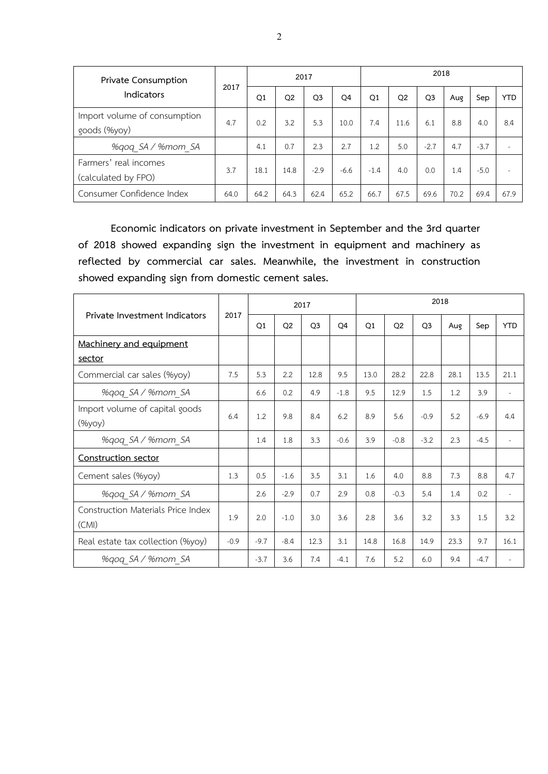| Private Consumption<br>Indicators            |      |      |                | 2017           |        | 2018   |                |                |      |        |            |  |
|----------------------------------------------|------|------|----------------|----------------|--------|--------|----------------|----------------|------|--------|------------|--|
|                                              | 2017 | Q1   | Q <sub>2</sub> | Q <sub>3</sub> | Q4     | Q1     | Q <sub>2</sub> | Q <sub>3</sub> | Aug  | Sep    | <b>YTD</b> |  |
| Import volume of consumption<br>goods (%yoy) | 4.7  | 0.2  | 3.2            | 5.3            | 10.0   | 7.4    | 11.6           | 6.1            | 8.8  | 4.0    | 8.4        |  |
| %gog SA / %mom SA                            |      | 4.1  | 0.7            | 2.3            | 2.7    | 1.2    | 5.0            | $-2.7$         | 4.7  | $-3.7$ |            |  |
| Farmers' real incomes<br>(calculated by FPO) | 3.7  | 18.1 | 14.8           | $-2.9$         | $-6.6$ | $-1.4$ | 4.0            | 0.0            | 1.4  | $-5.0$ |            |  |
| Consumer Confidence Index                    | 64.0 | 64.2 | 64.3           | 62.4           | 65.2   | 66.7   | 67.5           | 69.6           | 70.2 | 69.4   | 67.9       |  |

**Economic indicators on private investment in September and the 3rd quarter of 2018 showed expanding sign the investment in equipment and machinery as reflected by commercial car sales. Meanwhile, the investment in construction showed expanding sign from domestic cement sales.**

| Private Investment Indicators                   |        |        |                | 2017           |                | 2018 |                |                |      |        |                          |  |
|-------------------------------------------------|--------|--------|----------------|----------------|----------------|------|----------------|----------------|------|--------|--------------------------|--|
|                                                 | 2017   | Q1     | Q <sub>2</sub> | Q <sub>3</sub> | Q <sub>4</sub> | Q1   | Q <sub>2</sub> | Q <sub>3</sub> | Aug  | Sep    | <b>YTD</b>               |  |
| Machinery and equipment                         |        |        |                |                |                |      |                |                |      |        |                          |  |
| sector                                          |        |        |                |                |                |      |                |                |      |        |                          |  |
| Commercial car sales (%yoy)                     | 7.5    | 5.3    | 2.2            | 12.8           | 9.5            | 13.0 | 28.2           | 22.8           | 28.1 | 13.5   | 21.1                     |  |
| %gog SA / %mom SA                               |        | 6.6    | 0.2            | 4.9            | $-1.8$         | 9.5  | 12.9           | 1.5            | 1.2  | 3.9    | $\overline{\phantom{a}}$ |  |
| Import volume of capital goods<br>$(\%$ yoy $)$ | 6.4    | 1.2    | 9.8            | 8.4            | 6.2            | 8.9  | 5.6            | $-0.9$         | 5.2  | $-6.9$ | 4.4                      |  |
| %qoq_SA / %mom_SA                               |        | 1.4    | 1.8            | 3.3            | $-0.6$         | 3.9  | $-0.8$         | $-3.2$         | 2.3  | $-4.5$ |                          |  |
| Construction sector                             |        |        |                |                |                |      |                |                |      |        |                          |  |
| Cement sales (%yoy)                             | 1.3    | 0.5    | $-1.6$         | 3.5            | 3.1            | 1.6  | 4.0            | 8.8            | 7.3  | 8.8    | 4.7                      |  |
| %qoq SA / %mom SA                               |        | 2.6    | $-2.9$         | 0.7            | 2.9            | 0.8  | $-0.3$         | 5.4            | 1.4  | 0.2    | $\sim$                   |  |
| Construction Materials Price Index<br>(CMI)     | 1.9    | 2.0    | $-1.0$         | 3.0            | 3.6            | 2.8  | 3.6            | 3.2            | 3.3  | 1.5    | 3.2                      |  |
| Real estate tax collection (%yoy)               | $-0.9$ | $-9.7$ | $-8.4$         | 12.3           | 3.1            | 14.8 | 16.8           | 14.9           | 23.3 | 9.7    | 16.1                     |  |
| %gog SA / %mom SA                               |        | $-3.7$ | 3.6            | 7.4            | $-4.1$         | 7.6  | 5.2            | 6.0            | 9.4  | $-4.7$ |                          |  |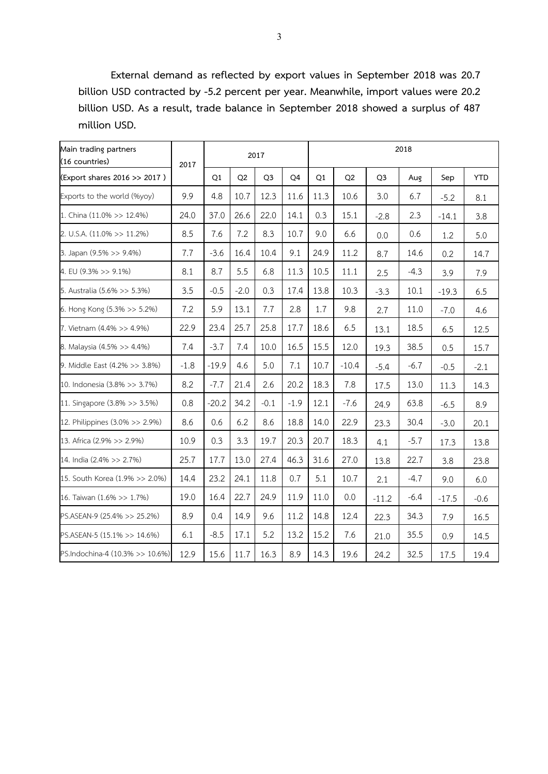**External demand as reflected by export values in September 2018 was 20.7 billion USD contracted by -5.2 percent per year. Meanwhile, import values were 20.2 billion USD. As a result, trade balance in September 2018 showed a surplus of 487 million USD.**

| Main trading partners<br>(16 countries) | 2017   |         |        | 2017           |                |      |         |                | 2018   |         |            |
|-----------------------------------------|--------|---------|--------|----------------|----------------|------|---------|----------------|--------|---------|------------|
| (Export shares 2016 >> 2017)            |        | Q1      | Q2     | Q <sub>3</sub> | O <sub>4</sub> | Q1   | Q2      | O <sub>3</sub> | Aug    | Sep     | <b>YTD</b> |
| Exports to the world (%yoy)             | 9.9    | 4.8     | 10.7   | 12.3           | 11.6           | 11.3 | 10.6    | 3.0            | 6.7    | $-5.2$  | 8.1        |
| 1. China $(11.0\% >> 12.4\%)$           | 24.0   | 37.0    | 26.6   | 22.0           | 14.1           | 0.3  | 15.1    | $-2.8$         | 2.3    | $-14.1$ | 3.8        |
| 2. U.S.A. (11.0% >> 11.2%)              | 8.5    | 7.6     | 7.2    | 8.3            | 10.7           | 9.0  | 6.6     | 0.0            | 0.6    | 1.2     | 5.0        |
| 3. Japan (9.5% >> 9.4%)                 | 7.7    | $-3.6$  | 16.4   | 10.4           | 9.1            | 24.9 | 11.2    | 8.7            | 14.6   | 0.2     | 14.7       |
| 4. EU (9.3% >> 9.1%)                    | 8.1    | 8.7     | 5.5    | 6.8            | 11.3           | 10.5 | 11.1    | 2.5            | $-4.3$ | 3.9     | 7.9        |
| 5. Australia (5.6% >> 5.3%)             | 3.5    | $-0.5$  | $-2.0$ | 0.3            | 17.4           | 13.8 | 10.3    | $-3.3$         | 10.1   | $-19.3$ | 6.5        |
| 6. Hong Kong (5.3% >> 5.2%)             | 7.2    | 5.9     | 13.1   | 7.7            | 2.8            | 1.7  | 9.8     | 2.7            | 11.0   | $-7.0$  | 4.6        |
| 7. Vietnam (4.4% >> 4.9%)               | 22.9   | 23.4    | 25.7   | 25.8           | 17.7           | 18.6 | 6.5     | 13.1           | 18.5   | 6.5     | 12.5       |
| 8. Malaysia (4.5% >> 4.4%)              | 7.4    | $-3.7$  | 7.4    | 10.0           | 16.5           | 15.5 | 12.0    | 19.3           | 38.5   | 0.5     | 15.7       |
| 9. Middle East (4.2% >> 3.8%)           | $-1.8$ | $-19.9$ | 4.6    | 5.0            | 7.1            | 10.7 | $-10.4$ | $-5.4$         | $-6.7$ | $-0.5$  | $-2.1$     |
| 10. Indonesia (3.8% >> 3.7%)            | 8.2    | $-7.7$  | 21.4   | 2.6            | 20.2           | 18.3 | 7.8     | 17.5           | 13.0   | 11.3    | 14.3       |
| 11. Singapore (3.8% >> 3.5%)            | 0.8    | $-20.2$ | 34.2   | $-0.1$         | $-1.9$         | 12.1 | $-7.6$  | 24.9           | 63.8   | $-6.5$  | 8.9        |
| 12. Philippines (3.0% >> 2.9%)          | 8.6    | 0.6     | 6.2    | 8.6            | 18.8           | 14.0 | 22.9    | 23.3           | 30.4   | $-3.0$  | 20.1       |
| 13. Africa (2.9% >> 2.9%)               | 10.9   | 0.3     | 3.3    | 19.7           | 20.3           | 20.7 | 18.3    | 4.1            | $-5.7$ | 17.3    | 13.8       |
| 14. India (2.4% >> 2.7%)                | 25.7   | 17.7    | 13.0   | 27.4           | 46.3           | 31.6 | 27.0    | 13.8           | 22.7   | 3.8     | 23.8       |
| 15. South Korea (1.9% >> 2.0%)          | 14.4   | 23.2    | 24.1   | 11.8           | 0.7            | 5.1  | 10.7    | 2.1            | $-4.7$ | 9.0     | 6.0        |
| 16. Taiwan (1.6% >> 1.7%)               | 19.0   | 16.4    | 22.7   | 24.9           | 11.9           | 11.0 | 0.0     | $-11.2$        | $-6.4$ | $-17.5$ | $-0.6$     |
| PS.ASEAN-9 (25.4% >> 25.2%)             | 8.9    | 0.4     | 14.9   | 9.6            | 11.2           | 14.8 | 12.4    | 22.3           | 34.3   | 7.9     | 16.5       |
| PS.ASEAN-5 (15.1% >> 14.6%)             | 6.1    | $-8.5$  | 17.1   | 5.2            | 13.2           | 15.2 | 7.6     | 21.0           | 35.5   | 0.9     | 14.5       |
| PS.Indochina-4 (10.3% >> 10.6%)         | 12.9   | 15.6    | 11.7   | 16.3           | 8.9            | 14.3 | 19.6    | 24.2           | 32.5   | 17.5    | 19.4       |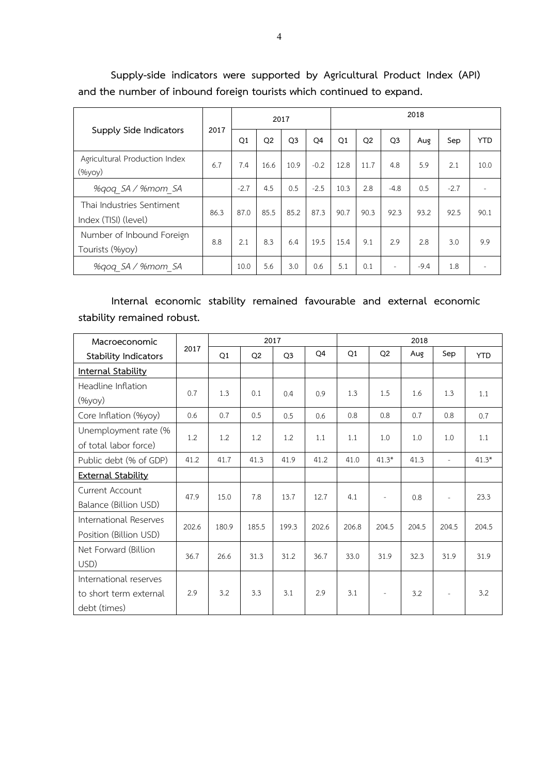|                                                   | 2017 |        | 2017           |                |        | 2018 |                |                          |        |        |            |  |
|---------------------------------------------------|------|--------|----------------|----------------|--------|------|----------------|--------------------------|--------|--------|------------|--|
| Supply Side Indicators                            |      | Q1     | Q <sub>2</sub> | Q <sub>3</sub> | Q4     | Q1   | Q <sub>2</sub> | Q <sub>3</sub>           | Aug    | Sep    | <b>YTD</b> |  |
| Agricultural Production Index<br>(%yoy)           | 6.7  | 7.4    | 16.6           | 10.9           | $-0.2$ | 12.8 | 11.7           | 4.8                      | 5.9    | 2.1    | 10.0       |  |
| %gog SA / %mom SA                                 |      | $-2.7$ | 4.5            | 0.5            | $-2.5$ | 10.3 | 2.8            | $-4.8$                   | 0.5    | $-2.7$ |            |  |
| Thai Industries Sentiment<br>Index (TISI) (level) | 86.3 | 87.0   | 85.5           | 85.2           | 87.3   | 90.7 | 90.3           | 92.3                     | 93.2   | 92.5   | 90.1       |  |
| Number of Inbound Foreign<br>Tourists (%yoy)      | 8.8  | 2.1    | 8.3            | 6.4            | 19.5   | 15.4 | 9.1            | 2.9                      | 2.8    | 3.0    | 9.9        |  |
| %gog SA / %mom SA                                 |      | 10.0   | 5.6            | 3.0            | 0.6    | 5.1  | 0.1            | $\overline{\phantom{a}}$ | $-9.4$ | 1.8    |            |  |

**Supply-side indicators were supported by Agricultural Product Index (API) and the number of inbound foreign tourists which continued to expand.**

**Internal economic stability remained favourable and external economic stability remained robust.**

| Macroeconomic               |       |       |                | 2017           |       | 2018  |                          |       |                          |            |  |  |
|-----------------------------|-------|-------|----------------|----------------|-------|-------|--------------------------|-------|--------------------------|------------|--|--|
| <b>Stability Indicators</b> | 2017  | Q1    | Q <sub>2</sub> | Q <sub>3</sub> | Q4    | Q1    | Q <sub>2</sub>           | Aug   | Sep                      | <b>YTD</b> |  |  |
| <b>Internal Stability</b>   |       |       |                |                |       |       |                          |       |                          |            |  |  |
| Headline Inflation          | 0.7   | 1.3   | 0.1            | 0.4            | 0.9   | 1.3   | 1.5                      | 1.6   | 1.3                      | 1.1        |  |  |
| $(\%$ yoy $)$               |       |       |                |                |       |       |                          |       |                          |            |  |  |
| Core Inflation (%yoy)       | 0.6   | 0.7   | 0.5            | 0.5            | 0.6   | 0.8   | 0.8                      | 0.7   | 0.8                      | 0.7        |  |  |
| Unemployment rate (%        | 1.2   | 1.2   | 1.2            | 1.2            | 1.1   | 1.1   | 1.0                      | 1.0   | 1.0                      | 1.1        |  |  |
| of total labor force)       |       |       |                |                |       |       |                          |       |                          |            |  |  |
| Public debt (% of GDP)      | 41.2  | 41.7  | 41.3           | 41.9           | 41.2  | 41.0  | $41.3*$                  | 41.3  | $\bar{a}$                | $41.3*$    |  |  |
| <b>External Stability</b>   |       |       |                |                |       |       |                          |       |                          |            |  |  |
| Current Account             | 47.9  | 15.0  | 7.8            | 13.7           | 12.7  | 4.1   |                          |       |                          | 23.3       |  |  |
| Balance (Billion USD)       |       |       |                |                |       |       | $\overline{\phantom{a}}$ | 0.8   | $\overline{\phantom{a}}$ |            |  |  |
| International Reserves      | 202.6 | 180.9 | 185.5          | 199.3          | 202.6 | 206.8 | 204.5                    | 204.5 | 204.5                    | 204.5      |  |  |
| Position (Billion USD)      |       |       |                |                |       |       |                          |       |                          |            |  |  |
| Net Forward (Billion        | 36.7  | 26.6  | 31.3           | 31.2           | 36.7  | 33.0  | 31.9                     | 32.3  | 31.9                     | 31.9       |  |  |
| USD)                        |       |       |                |                |       |       |                          |       |                          |            |  |  |
| International reserves      |       |       |                |                |       |       |                          |       |                          |            |  |  |
| to short term external      | 2.9   | 3.2   | 3.3            | 3.1            | 2.9   | 3.1   | $\overline{\phantom{a}}$ | 3.2   | $\overline{\phantom{a}}$ | 3.2        |  |  |
| debt (times)                |       |       |                |                |       |       |                          |       |                          |            |  |  |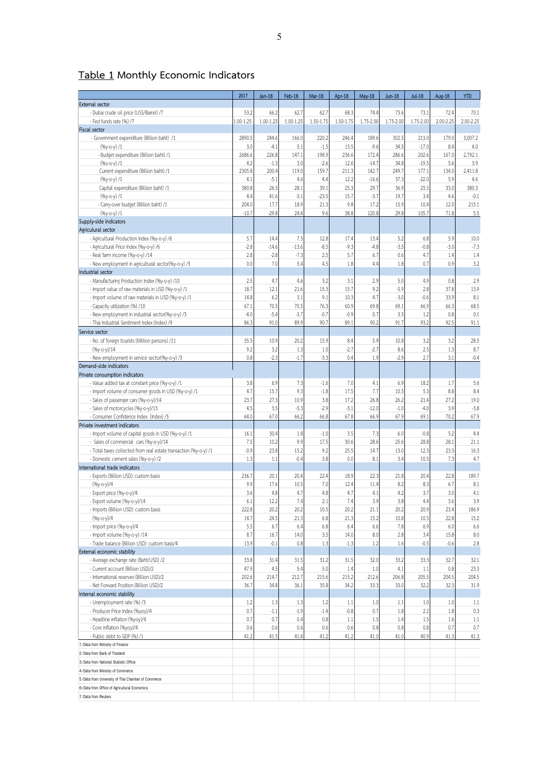|                                                                                                         | 2017          | $Jan-18$     | Feb-18         | Mar-18          | Apr-18       | May-18         | $Jun-18$     | <b>Jul-18</b>  | Aug-18      | <b>YTD</b>      |
|---------------------------------------------------------------------------------------------------------|---------------|--------------|----------------|-----------------|--------------|----------------|--------------|----------------|-------------|-----------------|
| External sector                                                                                         |               |              |                |                 |              |                |              |                |             |                 |
| - Dubai crude oil price (US\$/Barrel) /7                                                                | 53.2          | 66.2         | 62.7           | 62.7            | 68.3         | 74.4           | 73.6         | 73.1           | 72.4        | 70.1            |
| - Fed funds rate (%) /7                                                                                 | 1.00-1.25     | 1.00-1.25    | 1.00-1.25      | 1.50-1.75       | 1.50-1.75    | 1.75-2.00      | 1.75-2.00    | 1.75-2.00      | 2.00-2.25   | $2.00 - 2.25$   |
| Fiscal sector                                                                                           |               |              |                |                 |              |                |              |                |             |                 |
| - Government expenditure (Billion baht) /1                                                              | 2890.5        | 244.6        | 166.0          | 220.2           | 246.4        | 189.6          | 302.5        | 213.0          | 179.0       | 3.007.2         |
| $(96y-c-y)/1$                                                                                           | 3.0           | $-4.1$       | 5.1            | $-1.5$          | 13.5         | $-9.6$         | 34.5         | $-17.0$        | 8.4         | 4.0             |
| - Budget expenditure (Billion baht) /1                                                                  | 2686.6        | 226.8        | 147.1          | 198.9           | 236.6        | 172.4          | 286.6        | 202.6          | 167.0       | 2,792.1         |
| $(96y-c-y)/1$                                                                                           | 4.2           | $-1.3$       | 3.0            | $-2.6$          | 12.6         | $-14.7$        | 34.8         | $-19.5$        | 5.6         | 3.9             |
| Current expenditure (Billion baht) /1                                                                   | 2305.8        | 200.4        | 119.0          | 159.7           | 211.3        | 142.7          | 249.7        | 177.1          | 134.0       | 2,411.8         |
| $(96y-c-y)/1$                                                                                           | 4.1           | $-5.1$       | 4.6            | 4.4             | 12.2         | $-16.6$        | 37.3         | $-22.0$        | 5.9         | 4.6             |
| Capital expenditure (Billion baht) /1                                                                   | 380.8         | 26.5         | 28.1           | 39.1<br>$-23.5$ | 25.3         | 29.7           | 36.9         | 25.5           | 33.0        | 380.3           |
| $(96y-c-y)/1$<br>- Carry-over budget (Billion baht) /1                                                  | 4.4<br>204.0  | 41.6<br>17.7 | $-3.1$<br>18.9 | 21.3            | 15.7<br>9.8  | $-3.7$<br>17.2 | 19.7<br>15.9 | 3.4<br>10.4    | 4.6<br>12.0 | $-0.1$<br>215.1 |
| $(96y-c-y)/1$                                                                                           | $-10.7$       | $-29.8$      | 24.4           | 9.6             | 38.8         | 120.8          | 29.8         | 105.7          | 71.8        | 5.5             |
| Supply-side indicators                                                                                  |               |              |                |                 |              |                |              |                |             |                 |
| Agriculural sector                                                                                      |               |              |                |                 |              |                |              |                |             |                 |
| - Agricultural Production Index (%y-o-y) /6                                                             | 5.7           | 14.4         | 7.5            | 12.8            | 17.4         | 13.4           | 5.2          | 6.8            | 5.9         | 10.0            |
| - Agricultural Price Index (%y-o-y) /6                                                                  | $-2.8$        | $-14.6$      | $-13.6$        | $-8.5$          | $-9.3$       | $-4.8$         | $-3.5$       | $-0.8$         | $-3.0$      | $-7.3$          |
| - Real farm income (%y-o-y) /14                                                                         | 2.8           | $-2.8$       | $-7.3$         | 2.5             | 5.7          | 6.7            | 0.6          | 4.7            | 1.4         | 1.4             |
| - New employment in agricultural sector(%y-o-y) /3                                                      | 0.0           | 7.0          | 5.4            | 4.5             | 1.8          | 4.4            | 1.8          | 0.7            | 0.9         | 3.2             |
| Industrial sector                                                                                       |               |              |                |                 |              |                |              |                |             |                 |
| - Manufacturing Production Index (%y-o-y) /10                                                           | 2.5           | 4.7          | 4.6            | 3.2             | 3.1          | 2.9            | 5.0          | 4.9            | 0.8         | 2.9             |
| - Import value of raw materials in USD (%y-o-y) /1                                                      | 18.7          | 12.1         | 21.6           | 15.3            | 15.7         | 9.2            | 0.9          | 2.8            | 37.8        | 13.9            |
| - Import volume of raw materials in USD (%y-o-y) /1                                                     | 14.8          | 6.2          | 3.1            | 9.1             | 10.3         | 4.7            | $-3.0$       | $-0.6$         | 33.9        | 8.1             |
| - Capacity utilization (%) /10                                                                          | 67.1          | 70.5         | 70.5           | 76.3            | 60.9         | 69.8           | 69.1         | 66.9           | 66.3        | 68.5            |
| - New employment in industrial sector(%y-o-y) /3                                                        | $-4.0$        | $-5.4$       | $-3.7$         | $-0.7$          | $-0.9$       | 0.7            | 3.5          | 1.2            | 0.8         | 0.1             |
| - Thai Industrial Sentiment Index (Index) /9                                                            | 86.3          | 91.0         | 89.9           | 90.7            | 89.1         | 90.2           | 91.7         | 93.2           | 92.5        | 91.1            |
| Service sector                                                                                          |               |              |                |                 |              |                |              |                |             |                 |
| - No. of foreign tourists (Million persons) /11                                                         | 35.5          | 10.9         | 20.2           | 15.9            | 8.4          | 5.9            | 10.8         | 3.2            | 3.2         | 28.5            |
| $(96y-c-y)/14$                                                                                          | 9.2           | 3.2          | 1.3            | 1.0             | $-2.7$       | $-2.7$         | 8.6          | 2.5            | 1.3         | 8.7             |
| - New employment in service sector(%y-o-y) /3                                                           | 0.8           | $-2.3$       | $-1.7$         | $-3.3$          | 0.4          | 1.9            | $-2.9$       | 2.7            | 3.1         | $-0.4$          |
| Demand-side indicators                                                                                  |               |              |                |                 |              |                |              |                |             |                 |
| Private consumption indicators                                                                          |               |              |                |                 |              |                |              |                |             |                 |
| - Value added tax at constant price (%y-o-y) /1                                                         | 3.8           | 6.9          | 7.3            | $-1.6$          | 7.0          | 4.1            | 6.9          | 18.2           | 1.7         | 5.6             |
| - Import volume of consumer goods in USD (%y-o-y) /1                                                    | 4.7           | 15.7         | 9.3            | $-1.8$          | 17.5         | 7.7            | 10.5         | 5.3            | 8.8         | 8.4             |
| - Sales of passenger cars (%y-o-y)/14                                                                   | 23.7          | 27.3         | 10.9           | 3.8             | 17.2         | 26.8           | 26.2         | 21.4           | 27.2        | 19.0            |
| - Sales of motorcycles (%y-o-y)/13                                                                      | 4.5           | 3.5          | $-5.3$         | $-2.9$          | $-3.1$       | $-12.0$        | $-1.0$       | $-4.0$         | 3.9         | $-3.8$          |
| - Consumer Confidence Index (Index) /5                                                                  | 64.0          | 67.0         | 66.2           | 66.8            | 67.8         | 66.9           | 67.9         | 69.1           | 70.2        | 67.9            |
| Private investment indicators                                                                           |               |              |                |                 |              |                |              |                |             |                 |
| - Import volume of capital goods in USD (%y-o-y) /1                                                     | 16.1          | 30.4         | 1.8<br>9.9     | $-1.0$          | 3.5          | 7.3<br>28.6    | 6.0          | $-0.8$<br>28.8 | 5.2<br>28.1 | 4.4             |
| - Sales of commercial cars (%y-o-y)/14                                                                  | 7.5<br>$-0.9$ | 10.2<br>23.8 | 15.2           | 17.5<br>9.2     | 30.6<br>25.5 | 14.7           | 25.6<br>13.0 | 12.3           | 23.3        | 21.1<br>16.3    |
| - Total taxes collected from real estate transaction (%y-o-y) /1<br>- Domestic cement sales (%y-o-y) /2 | 1.3           | 1.1          | $-0.4$         | 3.8             | 0.0          | 8.1            | 3.4          | 10.5           | 7.3         | 4.7             |
| International trade indicators                                                                          |               |              |                |                 |              |                |              |                |             |                 |
| - Exports (Billion USD): custom basis                                                                   | 236.7         | 20.1         | 20.4           | 22.4            | 18.9         | 22.3           | 21.8         | 20.4           | 22.8        | 189.7           |
| $(96y-c-y)/4$                                                                                           | 9.9           | 17.6         | 10.5           | 7.0             | 12.4         | 11.4           | 8.2          | 8.3            | 6.7         | 8.1             |
| - Export price (%y-o-y)/4                                                                               | 3.6           | 4.8          | 4.7            | 4.8             | 4.7          | 4.1            | 4.2          | 3.7            | 3.0         | 4.1             |
| - Export volume (%y-o-y)/14                                                                             | 6.1           | 12.2         | 7.4            | 2.1             | 7.4          | 3.9            | 3.8          | 4.4            | 3.6         | 3.9             |
| - Imports (Billion USD): custom basis                                                                   | 222.8         | 20.2         | 20.2           | 10.5            | 20.2         | 21.1           | 20.2         | 20.9           | 23.4        | 186.9           |
| $(96y-c-y)/4$                                                                                           | 14.7          | 24.5         | 21.3           | 6.8             | 21.3         | 15.2           | 10.8         | 10.5           | 22.8        | 15.2            |
| - Import price (%y-o-y)/4                                                                               | 5.5           | 6.7          | 6.4            | 6.8             | 6.4          | 6.6            | 7.8          | 6.9            | 6.0         | 6.6             |
| - Import volume (%y-o-y) /14                                                                            | 8.7           | 16.7         | 14.0           | 3.5             | 14.0         | 8.0            | 2.8          | 3.4            | 15.8        | 8.0             |
| - Trade balance (Billion USD): custom basis/4                                                           | 13.9          | $-0.1$       | 0.8            | 1.3             | $-1.3$       | 1.2            | 1.6          | $-0.5$         | $-0.6$      | 2.8             |
| External economic stability                                                                             |               |              |                |                 |              |                |              |                |             |                 |
| - Average exchange rate (Baht/USD) /2                                                                   | 33.8          | 31.4         | 31.5           | 31.2            | 31.5         | 32.0           | 33.2         | 33.3           | 32.7        | 32.1            |
| - Current account (Billion USD)/2                                                                       | 47.9          | 4.5          | 5.4            | 5.0             | 1.4          | 1.0            | 4.1          | 1.1            | 0.8         | 23.3            |
| - International reserves (Billion USD)/2                                                                | 202.6         | 214.7        | 212.7          | 215.6           | 215.2        | 212.6          | 206.8        | 205.5          | 204.5       | 204.5           |
| - Net Forward Position (Billion USD)/2                                                                  | 36.7          | 34.8         | 36.1           | 35.8            | 34.2         | 33.3           | 33.0         | 32.2           | 32.3        | 31.9            |
| Internal economic stability                                                                             |               |              |                |                 |              |                |              |                |             |                 |
| - Unemployment rate (%) /3                                                                              | 1.2           | 1.3          | 1.3            | 1.2             | 1.1          | 1.0            | 1.1          | 1.0            | 1.0         | 1.1             |
| - Producer Price Index (%yoy)/4                                                                         | 0.7           | $-1.1$       | $-1.9$         | $-1.4$          | $-0.8$       | 0.7            | 1.8          | 2.2            | 1.8         | 0.3             |
| - Headline inflation (%yoy)/4                                                                           | 0.7           | 0.7          | 0.4            | 0.8             | 1.1          | 1.5            | 1.4          | 1.5            | 1.6         | 1.1             |
| - Core inflation (%yoy)/4                                                                               | 0.6           | 0.6          | 0.6            | 0.6             | 0.6          | 0.8            | 0.8          | 0.8            | 0.7         | 0.7             |
| - Public debt to GDP (%) /1                                                                             | 41.2          | 41.5         | 41.4           | 41.2            | 41.2         | 41.0           | 41.0         | 40.9           | 41.3        | 41.3            |
| 1/Data from Ministry of Finance                                                                         |               |              |                |                 |              |                |              |                |             |                 |
| 2/Data from Bank of Thailand                                                                            |               |              |                |                 |              |                |              |                |             |                 |
| 3/Data from National Statistic Office                                                                   |               |              |                |                 |              |                |              |                |             |                 |
| 4/Data from Ministry of Commerce                                                                        |               |              |                |                 |              |                |              |                |             |                 |
| 5/Data from University of Thai Chamber of Commerce                                                      |               |              |                |                 |              |                |              |                |             |                 |
| 6/Data from Office of Agricultural Economics<br>7/Data from Reuters                                     |               |              |                |                 |              |                |              |                |             |                 |
|                                                                                                         |               |              |                |                 |              |                |              |                |             |                 |

## **Table 1 Monthly Economic Indicators**